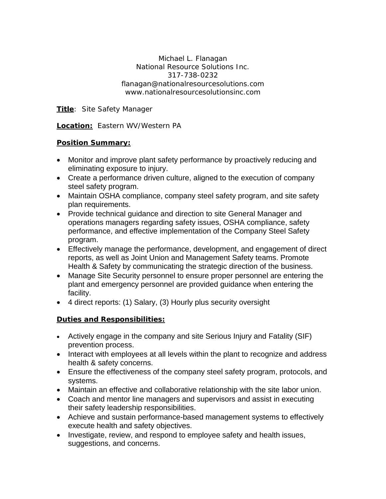Michael L. Flanagan National Resource Solutions Inc. 317-738-0232 flanagan@nationalresourcesolutions.com www.nationalresourcesolutionsinc.com

**Title**: Site Safety Manager

**Location:** Eastern WV/Western PA

## **Position Summary:**

- Monitor and improve plant safety performance by proactively reducing and eliminating exposure to injury.
- Create a performance driven culture, aligned to the execution of company steel safety program.
- Maintain OSHA compliance, company steel safety program, and site safety plan requirements.
- Provide technical guidance and direction to site General Manager and operations managers regarding safety issues, OSHA compliance, safety performance, and effective implementation of the Company Steel Safety program.
- Effectively manage the performance, development, and engagement of direct reports, as well as Joint Union and Management Safety teams. Promote Health & Safety by communicating the strategic direction of the business.
- Manage Site Security personnel to ensure proper personnel are entering the plant and emergency personnel are provided guidance when entering the facility.
- 4 direct reports: (1) Salary, (3) Hourly plus security oversight

## **Duties and Responsibilities:**

- Actively engage in the company and site Serious Injury and Fatality (SIF) prevention process.
- Interact with employees at all levels within the plant to recognize and address health & safety concerns.
- Ensure the effectiveness of the company steel safety program, protocols, and systems.
- Maintain an effective and collaborative relationship with the site labor union.
- Coach and mentor line managers and supervisors and assist in executing their safety leadership responsibilities.
- Achieve and sustain performance-based management systems to effectively execute health and safety objectives.
- Investigate, review, and respond to employee safety and health issues, suggestions, and concerns.